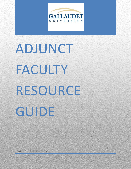

# **<sup>1</sup>** ADJUNCT FACULTY RESOURCE

GUIDE

2014-2015 ACADEMIC YEAR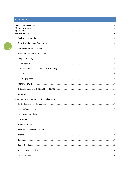# **CONTENTS**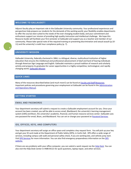#### <span id="page-3-0"></span>**WELCOME TO GALLAUDET!**

Adjunct faculty play an important role in the Gallaudet University community. Your professional experiences and perspectives help prepare our students for the demands of the working world; your flexibility enables departments to offer the courses best suited to the needs of the ever-changing student body; and your commitment and enthusiasm support our mission of providing high quality instruction and intellectual challenge. We hope this Resource Guide will facilitate your first semester at Gallaudet and support you as a teacher and member of our community. Please take special note of the required training on preventing discrimination and sexual assault (p.10- 11) and the university's credit hour compliance policy (p. 7).

# <span id="page-3-1"></span>**UNIVERSITY MISSION**

Gallaudet University, federally chartered in 1864, is a bilingual, diverse, multicultural institution of higher education that ensures the intellectual and professional advancement of deaf and hard of hearing individuals through American Sign Language and English. Gallaudet maintains a proud tradition of research and scholarly activity and prepares its graduates for career opportunities in a highly competitive, technological, and rapidly changing world. [Gallaudet Mission](http://www.gallaudet.edu/about_gallaudet/mission_and_goals.html)

# <span id="page-3-2"></span>**QUICK LINKS**

Many of the resources described below (and much more!) can be found at [Faculty and Staff Resources.](http://www.gallaudet.edu/faculty_and_staff.html) Important policies and procedures governing your employment at Gallaudet can be found in the Administration [and Operations Manual.](http://www.gallaudet.edu/af/aando_manual.html)

# <span id="page-3-3"></span>**GETTING STARTED**

#### <span id="page-3-4"></span>EMAIL AND PASSWORDS

Your department secretary will submit a request to create a Gallaudet employment account for you. Once your account has been created, you will be able to access email, Blackboard, the university's learning management system (LMS) and Bison, the university's academic, financial, and human resource services center. Gallaudet uses one password for email, Bison, and Blackboard. You can set or change your password a[t Password Services.](https://selfservice.gallaudet.edu/showLogin.cc)

#### <span id="page-3-5"></span>IDS, OFFICES, KEYS, AND COMPUTERS

Your department secretary will assign an office space and complete a key request form. You will pick up your key and get your ID card made at the Department of Public Safety (DPS), in Carlin Hall. DPS offers a wide range of services, including campus safe walk and personal safety check, if you are working late, and vehicle jump start. Visit [DPS Services](http://www.gallaudet.edu/DPS/Services.html) for more information. You can also find emergency preparedness information on th[e DPS](http://www.gallaudet.edu/dps/emergency_preparedness_guide.html)  [website.](http://www.gallaudet.edu/dps/emergency_preparedness_guide.html)

If there are any problems with your office computer, you can submit a work request via the **Help Desk**. You can also visit the Help Desk Center in HMB W121 for quick questions, laptop repair, and other services.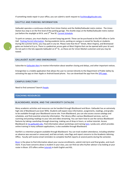If something needs repair in your office, you can submit a work request to **Facilities@gallaudet.edu**.

#### <span id="page-4-0"></span>SHUTTLE AND PARKING INFORMATION

Gallaudet operates a continuous shuttle from Union Station and the NoMa/Gallaudet metro station. The Union Station bus stop is on the first level of the parking garage. The shuttle stops at the NoMa/Gallaudet metro station just before the stoplight at M St. and  $2^{nd}$  Ave SE[. Current Schedule.](http://www.gallaudet.edu/transportation/shuttle_bus_services.html)

To park on campus, you must display a current hang-tag permit. These can be purchased at the DPS office in Carlin Hall. [Parking Permit Information.](http://www.gallaudet.edu/DPS/Parking_and_Traffic_Information/Obtaining_a_Parking_Permit.html) During academic terms, parking on campus is zoned for faculty or students. During the summer terms, you may park in any lot. Please note that the 6<sup>th</sup> Street, West Virginia, and Brentwood gates are locked at 6 p.m. There is a pedestrian access gate at West Virginia that can be opened with your id card. Do not park in the lots opposite Gallaudet on 6<sup>th</sup> St., as these are for Union Market customers and you may be towed.

#### <span id="page-4-1"></span>GALLAUDET ALERT AND EMERGENSEE

Subscribe to [Gallaudet Alert](http://www.gallaudet.edu/DPS/Emergency_Preparedness_Guide/Subscribe_to_Gallaudet_Alert_.html) to receive information about weather closing and delays, and other important notices.

EmergenSee is a mobile application that allows the user to connect directly to the Department of Public Safety by activating the app on their Apple or Android based phone. You can download the app from the [DPS page.](http://www.gallaudet.edu/dps/emergensee_mobile_safety_app.html)

#### <span id="page-4-2"></span>CAMPUS DIRECTORY

Need to find someone? Search [People.](http://people.gallaudet.edu/)

#### <span id="page-4-3"></span>**TEACHING RESOURCES**

#### <span id="page-4-4"></span>BLACKBOARD, BISON, AND THE UNIVERSITY CATALOG

Many academic activities and resources can be handled through Blackboard and Bison. Gallaudet has an extremely high rate of Blackboard use (over 90%). Students will expect class information, assignments, readings, and grades to be available through your Blackboard course site. From Blackboard, you can also access course catalogs and schedules, and find essential university information. The Library offers various Blackboard services, such as scanning and posting readings to your site and video streaming. You can learn how to use the various Blackboard features by taking a workshop through eLearning, making use of drop-in hours, or online tutorials. Access Blackboard at [my.gallaudet.edu.](file:///C:/Users/Jill/AppData/Local/Temp/my.gallaudet.edu) Find information about workshops and trainin[g here.](http://www.gallaudet.edu/GTS/Workshops_and_Webinars.html) Lynda.com, which provides online training in many software applications, is also available through Blackboard.

Starfish is a retention program available through Blackboard. You can track student attendance, including whether an absence was excused or unexcused, and late arrivals, raise flags and report concerns to the Academic Advising Office. Faculty will receive email reminders to complete Starfish reports at several points during the semester.

[Bison](https://secure.gallaudet.edu/bison/) is the place to find information about your course enrollments, submit mid-term and final grades, and much more. If you have concerns about a student in your class, you can find out who his/her advisor is by looking at your roster in Bison. GTS offers online [tutorials](http://www.gallaudet.edu/GTS/Services/Bison/Faculty_Tutorials.html) in both English and ASL.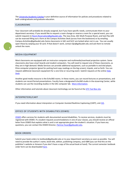Th[e University Academic Catalog](http://www.gallaudet.edu/academic_catalog.html) is your definitive source of information for policies and procedures related to both undergraduate and graduate education.

# <span id="page-5-0"></span>CLASSROOMS

Your classroom will probably be already assigned, but if you have specific needs, communicate them to your department secretary. If you would like to request a room change or reserve a room for a special event, you can submit requests t[o Room.Reservation@gallaudet.edu.](mailto:Room.Reservation@gallaudet.edu) The Java Area, SAC Multi-Purpose Room, and Sub-Flex A/B can be reserved filling out a form at the Campus Activities Desk (across from the bookstore) or by emailing Campus.Activities@gallaudet.edu Some classrooms in SAC and SLCC are locked when not in use. You can usually open these by swiping your ID card. If that doesn't work, contact dps@gallaudet.edu and ask them to remote unlock the room.

# <span id="page-5-1"></span>MEDIA EQUIPMENT

Most classrooms are equipped with an instructor computer and multimedia/overhead projection system. Some classrooms also have smart boards and student computers. You will need to request one of these classrooms, as they are in high demand. Media Services can provide additional equipment, such as portable tv and dvd player, Elmo computer projector (great for putting hard copy readings on the big screen), tripods, and so forth. You can request additional classroom equipment for a one time or recurring event. Submit requests at the online Help [Desk.](http://www.gallaudet.edu/gts/help_desk.html)

Another good media resource is the Echo360 rooms. In these rooms, you can record lectures or presentations, and students can record formal presentations. Faculty have a designated Echo360 studio in the eLearning Center, while students can use the recording studios in the SAC computer lab. [More information.](http://www.gallaudet.edu/GTS/Services/Echo360.html)

Other information and tutorials about classroom technology can be found at the [GTS Tool Box site.](http://www.gallaudet.edu/GTS/Tool_Box.html)

#### <span id="page-5-2"></span>INTERPRETERS/CART

If you need information about interpreters or Computer Assisted Realtime Captioning (CART), visit [GIS.](http://www.gallaudet.edu/GIS.html)

#### <span id="page-5-3"></span>OFFICE OF STUDENTS WITH DISABILITIES (OSWD)

[OSWD](http://www.gallaudet.edu/office_for_students_with_disabilities.htm) offers services for students with documented second disabilities. To receive services, students must be registered with OSWD. If a student requests accommodations in one of your classes, you should receive an official letter from OSWD that explains what is and is not appropriate given the student's situation. If you have any questions, you can contact the OSWD Director, [Patricia.Tesar@gallaudet.edu.](mailto:Patricia.Tesar@gallaudet.edu)

#### <span id="page-5-4"></span>BOOK ORDERS

Submit your book orders to textbook@gallaudet.edu or to your department secretary as soon as possible. You will need to provide the author's name, book title, edition, publishing company, and ISBN (you can find this on the publisher's website or Amazon if you don't have a copy of the actual book at hand). The current semester textbook order form can be downloaded [here.](http://www.gallaudet.edu/bison_shop/textbook_requisitions.html)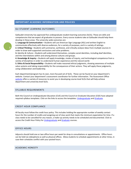#### <span id="page-6-0"></span>**IMPORTANT ACADEMIC INFORMATION AND POLICIES**

#### <span id="page-6-1"></span>GU STUDENT LEARNING OUTCOMES

Gallaudet University has approved five undergraduate student learning outcomes (SLOs). These are skills and competencies that we expect all graduates to possess. Every course students take at Gallaudet should help them develop in these areas. The university-wide outcomes are:

**1. Language & Communication**—Students will use American Sign Language (ASL) and written English to communicate effectively with diverse audiences, for a variety of purposes, and in a variety of settings.

**2. Critical Thinking**—Students will summarize, synthesize, and critically analyze ideas from multiple sources in order to draw well-supported conclusions and solve problems.

**3.** Identity & Culture—Students will understand themselves, complex social identities, including deaf identities, and the interrelations within and among diverse cultures and groups.

**4. Knowledge & Inquiry**—Students will apply knowledge, modes of inquiry, and technological competence from a variety of disciplines in order to understand human experience and the natural world.

**5. Ethics & Social Responsibility**—Students will make reasoned ethical judgments, showing awareness of multiple value systems and taking responsibility for the consequences of their actions. They will apply these judgments, using collaboration and leadership.

Each department/program has its own, more focused set of SLOs. These can be found on your department's website. Contact your department's assessment coordinator for further information. The Assessment Office [website](http://www.gallaudet.edu/Office_of_Academic_Quality/Assessment_of_Student_Learning_Outcomes/Resources.html) offers a variety of resources to assist you in developing course-level SLOs that will help achieve department and university level SLOs.

#### <span id="page-6-2"></span>SYLLABUS REQUIREMENTS

Both the Council on Undergraduate Education (CUE) and the Council on Graduate Education (CGE) have adopted required syllabus templates. Click on the links to access the templates: [Undergraduate](http://www.gallaudet.edu/CUE/Syllabus.html) an[d Graduate.](http://www.gallaudet.edu/cge/sample_syllabus.html)

#### <span id="page-6-3"></span>CREDIT HOUR COMPLIANCE

All faculty must follow the credit hour policy. This includes holding the appropriate number of weekly contact hours for the number of credits and assigning out of class work that meets the minimum expectation for time. If a class needs to be cancelled for any reason, a make-up activity needs to be scheduled and documented. Click to access the Credit Hour Policy fo[r Undergraduate](http://www.gallaudet.edu/academic_catalog/registration_and_policies/undergraduate_policies/semester_credit_hour.html) an[d Graduate](http://www.gallaudet.edu/academic_catalog/registration_and_policies/graduate_policies/semester_credit_hour.html) courses.

#### <span id="page-6-4"></span>OFFICE HOURS

Adjuncts should hold one or two office hours per week for drop-in consultations or appointments. Office hours can be held via videophone as well as physical offices. Allow students to schedule appointments at other times, in case their schedules conflict with your posted hours.

#### <span id="page-6-5"></span>ACADEMIC HONESTY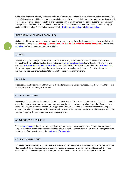Gallaudet's Academic Integrity Policy can be found in the course catalogs. A short statement of the policy and link to the full versions should be included in your syllabus, per CUE and CGE syllabi templates. Options for dealing with academic integrity violations range from a failing grade on the assignment or in class, to suspension or expulsion for repeated or extreme cases. Detailed instructions on how to proceed can be found in the Academic Integrity sections of the catalog. Please follow these carefully. [Undergraduate policy](http://www.gallaudet.edu/academic_catalog/registration_and_policies/undergraduate_policies/academic_integrity.html) an[d Graduate policy.](http://www.gallaudet.edu/academic_catalog/registration_and_policies/graduate_policies/academic_integrity.html)

#### <span id="page-7-0"></span>INSTITUTIONAL REVIEW BOARD (IRB)

Gallaudet's IRB oversees research on campus. Any research project involving human subjects, however informal, must receive IRB approval. **This applies to class projects that involve collection of data from people.** Review the [guidelines](http://www.gallaudet.edu/Institutional_Review_Board_%28IRB%29.html) before planning such course activities.

#### <span id="page-7-1"></span>RUBRICS

You are strongly encouraged to use rubrics to evaluate the major assignments in your courses. The Office of Bilingual Teaching and Learning has developed several rubrics for [ASL projects.](http://www.gallaudet.edu/Office_of_Academic_Quality/Office_of_Bilingual_Teaching_and_Learning/Academic_ASL/ASL_Materials_Development_Rubic.html) For written English projects, you can use [AAC&U Written Communication Rubric.](http://www.aacu.org/value/rubrics/pdf/WrittenCommunication.pdf) Many other useful rubrics can be found on the [AAC&U website.](http://www.aacu.org/value/rubrics/index_p.cfm?CFID=38513310&CFTOKEN=57092140) Share rubrics with your students so they know how you will be evaluating their work. Checklists for various assignments also help ensure students know what you are expecting from them.

#### <span id="page-7-2"></span>ROSTERS

Class rosters can be downloaded from Bison. If a student in class is not on your roster, he/she will need to submit an add/drop form to the registrar's office.

# <span id="page-7-3"></span>COURSE OVERLOADS

Most classes have limits to the number of students who can enroll. You may add students to a closed class at your discretion. Keep in mind that room assignments are based on the maximum enrollment and that if you add too many students, you may need to request a bigger room. If another section of the course is available and open, encourage students to register for that one instead. Permission for overload may be granted via Bison prior to the term or by signing the permission box on an add/drop form.

#### <span id="page-7-4"></span>ADD/DROP/WD DEADLINES

Th[e academic calendar](http://www.gallaudet.edu/registrars_office/academic_calendars.html) lists the various deadlines for students to add/drop/withdraw. If students want to add, drop, or withdraw from a class after the deadline, they will need to get the dean of CAS or SEBHS to sign the form. Students can find these forms on the [Registrar's Office website](http://www.gallaudet.edu/registrars_office/forms.html).

# <span id="page-7-5"></span>COURSE EVALUATIONS

At the end of the semester, ask your department secretary for the course evaluation form. Select a student in the class to collect the student evaluations. You must not be in the room when students are filling it out. Once the evaluations have been completed, the designated student should return them to the department office.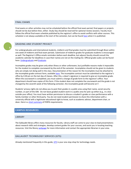#### <span id="page-8-0"></span>FINAL EXAMS

Final exams or other activities may not be scheduled before the official final exam period; final papers or projects should not be due before then, either. Study Day should be reserved for optional review sessions. Faculty must follow the official final exam schedule published by the registrar's office to avoid conflicts with other courses. This schedule is not always available at the start of the semester, but can be foun[d here](http://www.gallaudet.edu/registrars_office/academic_calendars/final_exam_schedule.html) when it is published.

# <span id="page-8-1"></span>GRADING AND STUDENT PRIVACY

For undergraduates and international students, midterm and final grades must be submitted through Bison within one week of midterm and final exam periods. Submission of midterm grades for graduate students is encouraged as well. The Registrar's Office emails reminders before each deadline, but adjunct faculty should consult the academic calendar for deadlines in case their names are not on the mailing list. Official grade scales can be found here: [Undergraduate](http://www.gallaudet.edu/academic_catalog/registration_and_policies/undergraduate_policies/grading_system.html) an[d Graduate.](http://www.gallaudet.edu/academic_catalog/registration_and_policies/graduate_policies/grading_system.html)

Incomplete grades may be given only when illness or other unforeseen, but justifiable reasons make it impossible for the student to complete coursework by the end of the semester. Incompletes should not be given to students who are simply not doing well in the class. Documentation of the reason for the incomplete must be attached to the incomplete grade contract form, availabl[e here.](http://www.gallaudet.edu/registrars_office/forms.html) The incomplete contract must be submitted to the registrar's office by 4:30 pm on the last day of classes. After this, a dean's signature is required to give an incomplete grade. When the coursework is completed, you must submit a change of grade form to the registrar's office. Your department should have copies of this form. If the student does not complete the coursework and the grade is not changed by the seventh week of the following semester, the incomplete grade will become an F.

Students' privacy rights do not allow you to post their grades in a public area using their name, social security number, or part of the SSN. Do not leave graded student work in a public area for pick-up either (e.g., in a box outside your office). You must have written permission to discuss a student's grades or class performance with a family member or other third party. You do not need student permission to share this information with a university official with a legitimate educational right to know, such as academic advisor, department chair, or dean. Here is [a short summary](http://www.irsc.edu/uploadedFiles/FacultyStaff/JustforAdjuncts/FERPA.pdf) of FERPA requirements.

#### <span id="page-8-2"></span>**CAMPUS RESOURCES**

#### <span id="page-8-3"></span>LIBRARY

The Gallaudet library offers many resources for faculty. Library staff can come to your class to lead presentations about research skills and strategies, develop content guides for your courses, and assist you in locating teaching resources. Visit the library [webpage](http://www.gallaudet.edu/library.html) for more information and contact the appropriate librarian in your area.

# <span id="page-8-4"></span>GALLAUDET TECHNOLOGY SERVICES (GTS)

Already mentioned frequently in this guide, [GTS](http://www.gallaudet.edu/GTS.html) is your one-stop shop for technology needs.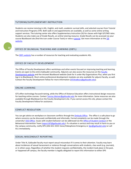### <span id="page-9-0"></span>TUTORING/SUPPLEMENTARY INSTRUCTION

Students can receive tutoring in ASL, English, and math, academic survival skills, and selected courses from Tutorial and Instruction Programs (TIP). Both walk-in and appointments are available, as well as some online writing support services. The tutoring center also offers Supplementary Instruction (SI) for classes with high D/F/WD rates. Students can also make use of Grade Results, an online tutoring resource. Grade Results can be accessed via your course Blackboard site (find the icon under Course Tools) or view a [tutorial.](http://www.gallaudet.edu/tip/services/grade_results.html) Get more information at the TIP [website.](http://www.gallaudet.edu/TIP.html)

# <span id="page-9-1"></span>OFFICE OF BILINGUAL TEACHING AND LEARNING (OBTL)

Th[e OBTL website](http://www.gallaudet.edu/Office_of_Academic_Quality/Office_of_Bilingual_Teaching_and_Learning/Academic_ASL.html) has a number of resources for teaching and evaluating academic ASL.

# <span id="page-9-2"></span>OFFICE OF FACULTY DEVELOPMENT

The Office of Faculty Development offers workshops and other events focused on improving teaching and learning. Events are open to the entire Gallaudet community. Adjuncts can also access the resources on the [Faculty](http://www.gallaudet.edu/Office_of_Academic_Quality/Faculty_Development/Teaching_and_Learning_Resources.html)  [Development website](http://www.gallaudet.edu/Office_of_Academic_Quality/Faculty_Development/Teaching_and_Learning_Resources.html) and the intranet Blackboard website (look for it under My Organizations Plus, when you first log in to Blackboard). Short online professional development modules are also available for adjunct faculty, as well. Contact the Faculty Development Fellow for more information (*Jill.Bradbury@gallaudet.edu*).

# <span id="page-9-3"></span>ONLINE LEARNING

GTS offers technology focused training, while the Office of Distance Education offers instructional design resources for teaching online courses. Contac[t Tammy.Weiner@gallaudet.edu](mailto:Tammy.Weiner@gallaudet.edu) for more information. Some resources are also available through Blackboard on the Faculty Development site. If you cannot access this site, please contact the Faculty Development Fellow for assistance.

# <span id="page-9-4"></span>CONFLICT RESOLUTION

You can get advice on workplace or classroom conflicts through the [Ombuds Office.](http://www.gallaudet.edu/The_Office_of_the_Ombuds.html) The office is a safe place to go where concerns can be discussed confidentially and informally. Formal complaints can be made through the university's [EEO Office.](http://www.gallaudet.edu/HRS/Employment_Opportunities/EEO_Statement.html) Issues with student behavior can be addressed via the [Office of Student Conduct](http://www.gallaudet.edu/office_of_student_conduct.html) or the Behavioral Intervention Team [\(report.BIT@gallaudet.edu\)](mailto:report.BIT@gallaudet.edu). If a situation is serious and may result in harm to you or the campus community, notify DPS (202-651-5555 Voice/Videophone Emergency or [dps@gallaudet.edu\)](mailto:dps@gallaudet.edu) or call 911 immediately.

# <span id="page-9-5"></span>SEXUAL MISCONDUCT REPORTING

Under Title IX, Gallaudet faculty must report sexual misconduct if it comes to their attention. Faculty may learn about incidences of sexual harassment or violence through conversations with students, class work (e.g. journals), or in others ways. Regardless of whether the student requests confidentiality, the incident took place in the past, or happened off campus, the faculty member is legally obligated to report this information to either DPS